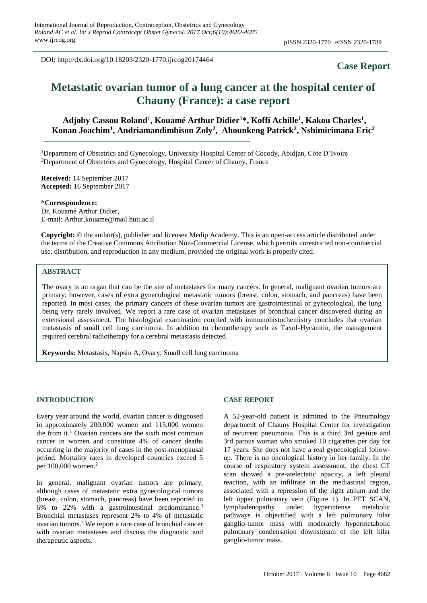DOI: http://dx.doi.org/10.18203/2320-1770.ijrcog20174464

# **Case Report**

# **Metastatic ovarian tumor of a lung cancer at the hospital center of Chauny (France): a case report**

# Adjoby Cassou Roland<sup>1</sup>, Kouamé Arthur Didier<sup>1\*</sup>, Koffi Achille<sup>1</sup>, Kakou Charles<sup>1</sup>, **Konan Joachim<sup>1</sup> , Andriamandimbison Zoly<sup>2</sup> , Ahounkeng Patrick<sup>2</sup> , Nshimirimana Eric<sup>2</sup>**

<sup>1</sup>Department of Obstetrics and Gynecology, University Hospital Center of Cocody, Abidjan, Côte D'Ivoire <sup>2</sup>Department of Obstetrics and Gynecology, Hospital Center of Chauny, France

**Received:** 14 September 2017 **Accepted:** 16 September 2017

**\*Correspondence:**

Dr. Kouamé Arthur Didier, E-mail: Arthur.kouame@mail.huji.ac.il

**Copyright:** © the author(s), publisher and licensee Medip Academy. This is an open-access article distributed under the terms of the Creative Commons Attribution Non-Commercial License, which permits unrestricted non-commercial use, distribution, and reproduction in any medium, provided the original work is properly cited.

#### **ABSTRACT**

The ovary is an organ that can be the site of metastases for many cancers. In general, malignant ovarian tumors are primary; however, cases of extra gynecological metastatic tumors (breast, colon, stomach, and pancreas) have been reported. In most cases, the primary cancers of these ovarian tumors are gastrointestinal or gynecological, the lung being very rarely involved. We report a rare case of ovarian metastases of bronchial cancer discovered during an extensional assessment. The histological examination coupled with immunohistochemistry concludes that ovarian metastasis of small cell lung carcinoma. In addition to chemotherapy such as Taxol-Hycamtin, the management required cerebral radiotherapy for a cerebral metastasis detected.

**Keywords:** Metastasis, Napsin A, Ovary, Small cell lung carcinoma

#### **INTRODUCTION**

Every year around the world, ovarian cancer is diagnosed in approximately 200,000 women and 115,000 women die from it. <sup>1</sup> Ovarian cancers are the sixth most common cancer in women and constitute 4% of cancer deaths occurring in the majority of cases in the post-menopausal period. Mortality rates in developed countries exceed 5 per 100,000 women. 2

In general, malignant ovarian tumors are primary, although cases of metastatic extra gynecological tumors (breast, colon, stomach, pancreas) have been reported in 6% to 22% with a gastrointestinal predominance. 3 Bronchial metastases represent 2% to 4% of metastatic ovarian tumors. <sup>4</sup>We report a rare case of bronchial cancer with ovarian metastases and discuss the diagnostic and therapeutic aspects.

#### **CASE REPORT**

A 52-year-old patient is admitted to the Pneumology department of Chauny Hospital Center for investigation of recurrent pneumonia. This is a third 3rd gesture and 3rd parous woman who smoked 10 cigarettes per day for 17 years. She does not have a real gynecological followup. There is no oncological history in her family. In the course of respiratory system assessment, the chest CT scan showed a pre-atelectatic opacity, a left pleural reaction, with an infiltrate in the mediastinal region, associated with a repression of the right atrium and the left upper pulmonary vein (Figure 1). In PET SCAN, lymphadenopathy under hyperintense metabolic pathways is objectified with a left pulmonary hilar ganglio-tumor mass with moderately hypermetabolic pulmonary condensation downstream of the left hilar ganglio-tumor mass.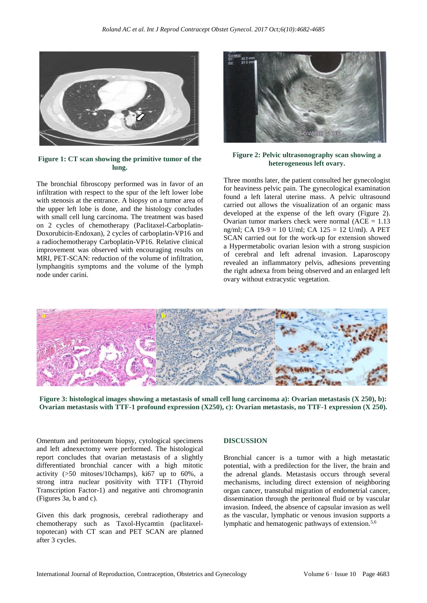

**Figure 1: CT scan showing the primitive tumor of the lung.**

The bronchial fibroscopy performed was in favor of an infiltration with respect to the spur of the left lower lobe with stenosis at the entrance. A biopsy on a tumor area of the upper left lobe is done, and the histology concludes with small cell lung carcinoma. The treatment was based on 2 cycles of chemotherapy (Paclitaxel-Carboplatin-Doxorubicin-Endoxan), 2 cycles of carboplatin-VP16 and a radiochemotherapy Carboplatin-VP16. Relative clinical improvement was observed with encouraging results on MRI, PET-SCAN: reduction of the volume of infiltration, lymphangitis symptoms and the volume of the lymph node under carini.



**Figure 2: Pelvic ultrasonography scan showing a heterogeneous left ovary.**

Three months later, the patient consulted her gynecologist for heaviness pelvic pain. The gynecological examination found a left lateral uterine mass. A pelvic ultrasound carried out allows the visualization of an organic mass developed at the expense of the left ovary (Figure 2). Ovarian tumor markers check were normal  $(ACE = 1.13)$ ng/ml; CA 19-9 = 10 U/ml; CA 125 = 12 U/ml). A PET SCAN carried out for the work-up for extension showed a Hypermetabolic ovarian lesion with a strong suspicion of cerebral and left adrenal invasion. Laparoscopy revealed an inflammatory pelvis, adhesions preventing the right adnexa from being observed and an enlarged left ovary without extracystic vegetation.



**Figure 3: histological images showing a metastasis of small cell lung carcinoma a): Ovarian metastasis (X 250), b): Ovarian metastasis with TTF-1 profound expression (X250), c): Ovarian metastasis, no TTF-1 expression (X 250).**

Omentum and peritoneum biopsy, cytological specimens and left adnexectomy were performed. The histological report concludes that ovarian metastasis of a slightly differentiated bronchial cancer with a high mitotic activity (>50 mitoses/10champs), ki67 up to 60%, a strong intra nuclear positivity with TTF1 (Thyroid Transcription Factor-1) and negative anti chromogranin (Figures 3a, b and c).

Given this dark prognosis, cerebral radiotherapy and chemotherapy such as Taxol-Hycamtin (paclitaxeltopotecan) with CT scan and PET SCAN are planned after 3 cycles.

#### **DISCUSSION**

Bronchial cancer is a tumor with a high metastatic potential, with a predilection for the liver, the brain and the adrenal glands. Metastasis occurs through several mechanisms, including direct extension of neighboring organ cancer, transtubal migration of endometrial cancer, dissemination through the peritoneal fluid or by vascular invasion. Indeed, the absence of capsular invasion as well as the vascular, lymphatic or venous invasion supports a lymphatic and hematogenic pathways of extension.5,6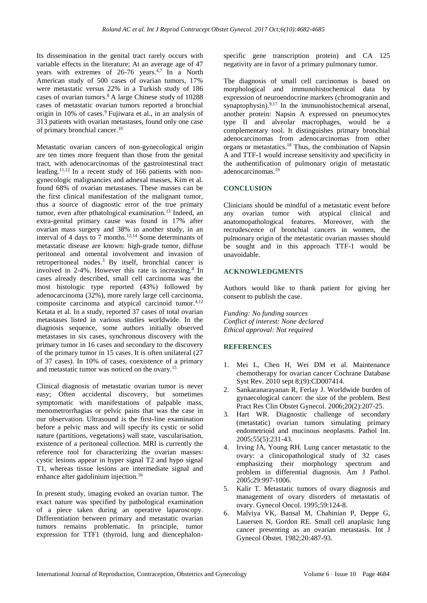Its dissemination in the genital tract rarely occurs with variable effects in the literature; At an average age of 47 vears with extremes of  $26-76$  years.<sup>4,7</sup> In a North American study of 500 cases of ovarian tumors, 17% were metastatic versus 22% in a Turkish study of 186 cases of ovarian tumors.<sup>8</sup>A large Chinese study of 10288 cases of metastatic ovarian tumors reported a bronchial origin in 10% of cases.<sup>9</sup> Fujiwara et al., in an analysis of 313 patients with ovarian metastases, found only one case of primary bronchial cancer.<sup>10</sup>

Metastatic ovarian cancers of non-gynecological origin are ten times more frequent than those from the genital tract, with adenocarcinomas of the gastrointestinal tract leading.11,12 In a recent study of 166 patients with nongynecologic malignancies and adnexal masses, Kim et al. found 68% of ovarian metastases. These masses can be the first clinical manifestation of the malignant tumor, thus a source of diagnostic error of the true primary tumor, even after pthatological examination.<sup>13</sup> Indeed, an extra-genital primary cause was found in 17% after ovarian mass surgery and 38% in another study, in an interval of 4 days to 7 months.12,14 Some determinants of metastatic disease are known: high-grade tumor, diffuse peritoneal and omental involvement and invasion of retroperitoneal nodes.<sup>3</sup> By itself, bronchial cancer is involved in 2-4%. However this rate is increasing.<sup>4</sup> In cases already described, small cell carcinoma was the most histologic type reported (43%) followed by adenocarcinoma (32%), more rarely large cell carcinoma, composite carcinoma and atypical carcinoid tumor.4,12 Ketata et al. In a study, reported 37 cases of total ovarian metastases listed in various studies worldwide. In the diagnosis sequence, some authors initially observed metastases in six cases, synchronous discovery with the primary tumor in 16 cases and secondary to the discovery of the primary tumor in 15 cases. It is often unilateral (27 of 37 cases). In 10% of cases, coexistence of a primary and metastatic tumor was noticed on the ovary.<sup>15</sup>

Clinical diagnosis of metastatic ovarian tumor is never easy; Often accidental discovery, but sometimes symptomatic with manifestations of palpable mass, menometrorrhagias or pelvic pains that was the case in our observation. Ultrasound is the first-line examination before a pelvic mass and will specify its cystic or solid nature (partitions, vegetations) wall state, vascularisation, existence of a peritoneal collection. MRI is currently the reference tool for characterizing the ovarian masses: cystic lesions appear in hyper signal T2 and hypo signal T1, whereas tissue lesions are intermediate signal and enhance after gadolinium injection.<sup>16</sup>

In present study, imaging evoked an ovarian tumor. The exact nature was specified by pathological examination of a piece taken during an operative laparoscopy. Differentiation between primary and metastatic ovarian tumors remains problematic. In principle, tumor expression for TTF1 (thyroid, lung and diencephalonspecific gene transcription protein) and CA 125 negativity are in favor of a primary pulmonary tumor.

The diagnosis of small cell carcinomas is based on morphological and immunohistochemical data by expression of neuroendocrine markers (chromogranin and synaptophysin).<sup>9,17</sup> In the immunohistochemical arsenal, another protein: Napsin A expressed on pneumocytes type II and alveolar macrophages, would be a complementary tool. It distinguishes primary bronchial adenocarcinomas from adenocarcinomas from other organs or metastatics.<sup>18</sup> Thus, the combination of Napsin A and TTF-1 would increase sensitivity and specificity in the authentification of pulmonary origin of metastatic adenocarcinomas.<sup>19</sup>

## **CONCLUSION**

Clinicians should be mindful of a metastatic event before any ovarian tumor with atypical clinical and anatomopathological features. Moreover, with the recrudescence of bronchial cancers in women, the pulmonary origin of the metastatic ovarian masses should be sought and in this approach TTF-1 would be unavoidable.

#### **ACKNOWLEDGMENTS**

Authors would like to thank patient for giving her consent to publish the case.

*Funding: No funding sources Conflict of interest: None declared Ethical approval: Not required*

## **REFERENCES**

- 1. Mei L, Chen H, Wei DM et al. Maintenance chemotherapy for ovarian cancer Cochrane Database Syst Rev. 2010 sept 8;(9):CD007414.
- 2. Sankaranarayanan R, Ferlay J. Worldwide burden of gynaecological cancer: the size of the problem. Best Pract Res Clin Obstet Gynecol. 2006;20(2):207-25.
- 3. Hart WR. Diagnostic challenge of secondary (metastatic) ovarian tumors simulating primary endometrioid and mucinous neoplasms. Pathol Int. 2005;55(5):231-43.
- 4. Irving JA, Young RH. Lung cancer metastatic to the ovary: a clinicopathological study of 32 cases emphasizing their morphology spectrum and problem in differential diagnosis. Am J Pathol. 2005;29:997-1006.
- 5. Kalir T. Metastatic tumors of ovary diagnosis and management of ovary disorders of metastatis of ovary. Gynecol Oncol. 1995;59:124-8.
- 6. Malviya VK, Bansal M, Chahinian P, Deppe G, Lauersen N, Gordon RE. Small cell anaplasic lung cancer presenting as an ovarian metastasis. Int J Gynecol Obstet. 1982;20:487-93.